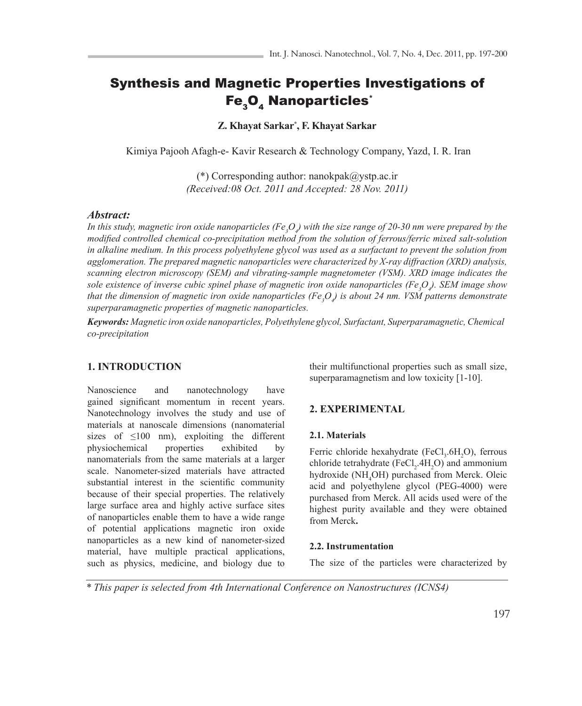# Synthesis and Magnetic Properties Investigations of Fe<sub>3</sub>O<sub>4</sub> Nanoparticles<sup>\*</sup>

**Z. Khayat Sarkar\* , F. Khayat Sarkar**

Kimiya Pajooh Afagh-e- Kavir Research & Technology Company, Yazd, I. R. Iran

(\*) Corresponding author: nanokpak@ystp.ac.ir *(Received:08 Oct. 2011 and Accepted: 28 Nov. 2011)*

# *Abstract:*

In this study, magnetic iron oxide nanoparticles (Fe<sub>3</sub>O<sub>4</sub>) with the size range of 20-30 nm were prepared by the *modified controlled chemical co-precipitation method from the solution of ferrous/ferric mixed salt-solution* in alkaline medium. In this process polyethylene glycol was used as a surfactant to prevent the solution from *agglomeration. The prepared magnetic nanoparticles were characterized by X-ray diffraction (XRD) analysis, scanning electron microscopy (SEM) and vibrating-sample magnetometer (VSM). XRD image indicates the sole existence of inverse cubic spinel phase of magnetic iron oxide nanoparticles (Fe3 O4 ). SEM image show that the dimension of magnetic iron oxide nanoparticles (Fe3 O4 ) is about 24 nm. VSM patterns demonstrate superparamagnetic properties of magnetic nanoparticles.*

*Keywords: Magnetic iron oxide nanoparticles, Polyethylene glycol, Surfactant, Superparamagnetic, Chemical co-precipitation*

# **1. INTRODUCTION**

Nanoscience and nanotechnology have gained significant momentum in recent years. Nanotechnology involves the study and use of materials at nanoscale dimensions (nanomaterial sizes of  $\leq 100$  nm), exploiting the different physiochemical properties exhibited by nanomaterials from the same materials at a larger scale. Nanometer-sized materials have attracted substantial interest in the scientific community because of their special properties. The relatively large surface area and highly active surface sites of nanoparticles enable them to have a wide range of potential applications magnetic iron oxide nanoparticles as a new kind of nanometer-sized material, have multiple practical applications, such as physics, medicine, and biology due to

their multifunctional properties such as small size, superparamagnetism and low toxicity [1-10].

## **2. EXPERIMENTAL**

### **2.1. Materials**

Ferric chloride hexahydrate (FeCl<sub>3</sub>.6H<sub>2</sub>O), ferrous chloride tetrahydrate (FeCl<sub>2</sub>.4H<sub>2</sub>O) and ammonium hydroxide (NH<sub>4</sub>OH) purchased from Merck. Oleic acid and polyethylene glycol (PEG-4000) were purchased from Merck. All acids used were of the highest purity available and they were obtained from Merck**.**

### **2.2. Instrumentation**

The size of the particles were characterized by

*\* This paper is selected from 4th International Conference on Nanostructures (ICNS4)*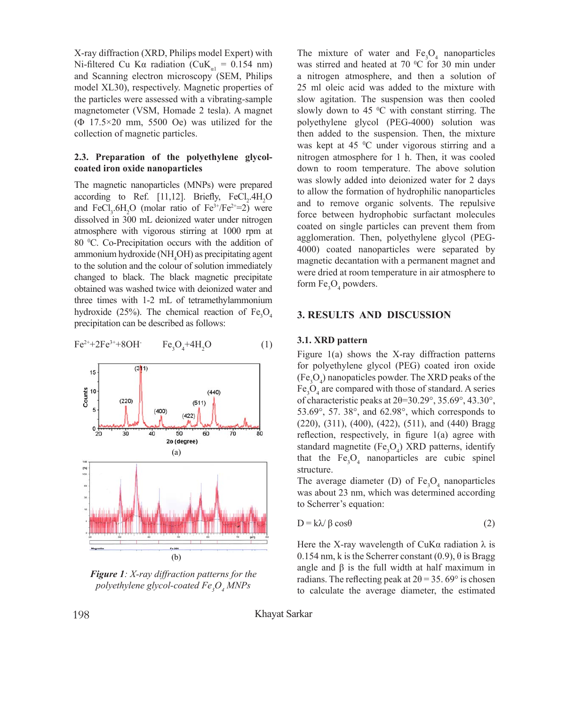X-ray diffraction (XRD, Philips model Expert) with Ni-filtered Cu K $\alpha$  radiation (CuK<sub>a1</sub> = 0.154 nm) and Scanning electron microscopy (SEM, Philips model XL30), respectively. Magnetic properties of the particles were assessed with a vibrating-sample magnetometer (VSM, Homade 2 tesla). A magnet  $(\Phi$  17.5×20 mm, 5500 Oe) was utilized for the collection of magnetic particles. characteristic peaks at 2θ = 30.29°, 35.69°, 43.30°,

# 2.3. Preparation of the polyethylene glycol**comparison** or the polyce

The magnetic nanoparticles (MNPs) were prepared according to Ref. [11,12]. Briefly,  $FeCl<sub>2</sub>$ .4H<sub>2</sub>O and FeCl<sub>3</sub>.6H<sub>2</sub>O (molar ratio of Fe<sup>3+</sup>/Fe<sup>2+=2</sup>) were dissolved in 300 mL deionized water under nitrogen atmosphere with vigorous stirring at 1000 rpm at 80 °C. Co-Precipitation occurs with the addition of ammonium hydroxide ( $NH<sub>4</sub>OH$ ) as precipitating agent to the solution and the colour of solution immediately changed to black. The black magnetic precipitate obtained was washed twice with deionized water and three times with 1-2 mL of tetramethylammonium hydroxide (25%). The chemical reaction of  $Fe<sub>3</sub>O<sub>4</sub>$ precipitation can be described as follows: otalities was washed twice with deformed

$$
Fe^{2+}+2Fe^{3+}+8OH \t\t Fe_3O_4+4H_2O \t\t(1)
$$



*<i>Figure 1: X-ray diffraction patterns for the glycol-coated Fe3O4 MNPs polyethylene glycol-coated Fe3 O4 MNPs*

a nitrogen atmosphere, and then a solution of 25 ml oleic acid was added to the mixture with slow agitation. The suspension was then cooled slowly down to  $45^{\circ}$ C with constant stirring. The *Figure 2: SEM image of the synthesized polyethylene*  agglomeration. Then, polyethylene glycol (PEG*glycol-coated Fe3O4 MNPs*  4000) coated nanoparticles were separated by form  $Fe<sub>3</sub>O<sub>4</sub>$  powders. The mixture of water and  $Fe<sub>3</sub>O<sub>4</sub>$  nanoparticles was stirred and heated at  $70\degree$ C for 30 min under polyethylene glycol (PEG-4000) solution was then added to the suspension. Then, the mixture was kept at 45 °C under vigorous stirring and a nitrogen atmosphere for 1 h. Then, it was cooled down to room temperature. The above solution was slowly added into deionized water for 2 days to allow the formation of hydrophilic nanoparticles and to remove organic solvents. The repulsive force between hydrophobic surfactant molecules coated on single particles can prevent them from magnetic decantation with a permanent magnet and were dried at room temperature in air atmosphere to

#### **3. RESULTS AND DISCUSSION** powder state, is shown in Fig. 3 which provided evidence

### **3.1. XRD pattern**

Figure 1(a) shows the X-ray diffraction patterns  $s_{\text{new}}$  is the bulk magnetization of the bulk magnetization,  $s_{\text{new}}$  and  $b_{\text{new}}$  magnetization,  $b_{\text{new}}$ for polyethylene glycol (PEG) coated iron oxide  $(Fe<sub>3</sub>O<sub>4</sub>)$  nanopaticles powder. The XRD peaks of the Fe<sub>3</sub>O<sub>4</sub> are compared with those of standard. A series of characteristic peaks at  $2\theta=30.29^\circ$ ,  $35.69^\circ$ ,  $43.30^\circ$ ,  $(220)$ ,  $(311)$ ,  $(400)$ ,  $(422)$ ,  $(511)$ , and  $(440)$  Bragg reflection, respectively, in figure 1(a) agree with standard magnetite  $(Fe<sub>3</sub>O<sub>4</sub>)$  XRD patterns, identify that the  $Fe<sub>3</sub>O<sub>4</sub>$  nanoparticles are cubic spinel structure. 53.69°, 57. 38°, and 62.98°, which corresponds to

The sygrage diameter  $(D)$  of  $E_2$   $\Omega$  manonar The average diameter (D) of  $Fe<sub>3</sub>O<sub>4</sub>$  nanoparticles was about 23 nm, which was determined according to Scherrer's equation:

$$
D = k\lambda / \beta \cos\theta \tag{2}
$$

Here the X-ray wavelength of CuK $\alpha$  radiation  $\lambda$  is 0.154 nm, k is the Scherrer constant (0.9), θ is Bragg angle and  $\beta$  is the full width at half maximum in radians. The reflecting peak at  $2\theta = 35.69^\circ$  is chosen to calculate the average diameter, the estimated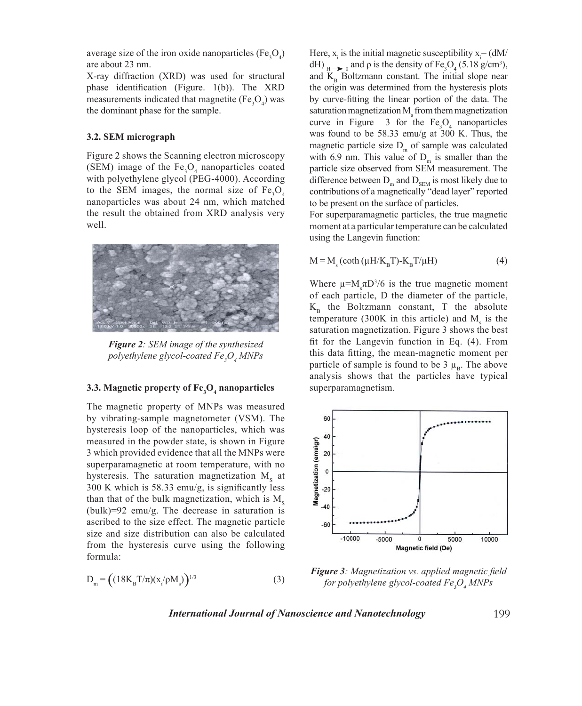average size of the iron oxide nanoparticles  $(Fe<sub>3</sub>O<sub>4</sub>)$ are about 23 nm.

X-ray diffraction (XRD) was used for structural phase identification (Figure. 1(b)). The XRD measurements indicated that magnetite  $(Fe<sub>3</sub>O<sub>4</sub>)$  was the dominant phase for the sample.

### **3.2. SEM micrograph**

Figure 2 shows the Scanning electron microscopy (SEM) image of the  $Fe<sub>3</sub>O<sub>4</sub>$  nanoparticles coated with polyethylene glycol (PEG-4000). According to the SEM images, the normal size of  $Fe<sub>3</sub>O<sub>4</sub>$ nanoparticles was about 24 nm, which matched the result the obtained from XRD analysis very well. o the stew mages, the normal size of  $\Gamma S_3$ 



*Figure 2: SEM image of the synthesized polynthalistics glycol-coated Fe3O4 MNPs polyethylene glycol-coated Fe3 O4 MNPs*

# **3.3. Magnetic property of Fe3O4 nanoparticles 3.3. Magnetic property of Fe3 O4 nanoparticles**

The magnetic property of MNPs was measured by The magnetic property of MNPs was measured by vibrating-sample magnetometer (VSM). The hysteresis loop of the nanoparticles, which was measured in the powder state, is shown in Figure 3 which provided evidence that all the MNPs were mon provided overleave that an the stricts were superparamagnetic at room temperature, with no hysteresis. The saturation magnetization  $M_s$  at 300 K which is 58.33 emu/g, is significantly less than that of the bulk magnetization, which is  $M_s$ (bulk)=92 emu/g. The decrease in saturation is ascribed to the size effect. The magnetic particle from the hysteresis curve using the following formula:  $\blacksquare$ size and size distribution can also be calculated

$$
D_{m} = ((18K_{B}T/\pi)(x_{i}/\rho M_{s}))^{1/3}
$$
 (3)

Here,  $x_i$  is the initial magnetic susceptibility  $x_i = (dM/\sqrt{d})$ dH)  $_{\text{H}\rightarrow\text{O}}$  and  $\rho$  is the density of Fe<sub>3</sub>O<sub>4</sub> (5.18 g/cm<sup>3</sup>), and  $K<sub>p</sub>$  Boltzmann constant. The initial slope near the origin was determined from the hysteresis plots by curve-fitting the linear portion of the data. The saturation magnetization  $M<sub>s</sub>$  from them magnetization curve in Figure  $\,3\,$  for the Fe<sub>3</sub>O<sub>4</sub> nanoparticles was found to be 58.33 emu/g at 300 K. Thus, the magnetic particle size  $D_m$  of sample was calculated with 6.9 nm. This value of  $D_m$  is smaller than the particle size observed from SEM measurement. The difference between  $D_m$  and  $D_{\text{SEM}}$  is most likely due to contributions of a magnetically "dead layer" reported to be present on the surface of particles.

For superparamagnetic particles, the true magnetic moment at a particular temperature can be calculated using the Langevin function:

$$
M = Ms (coth (µH/KBT) - KBT/µH)
$$
 (4)

Where  $\mu = M_s \pi D^3/6$  is the true magnetic moment of each particle, D the diameter of the particle,  $K<sub>p</sub>$  the Boltzmann constant, T the absolute temperature (300K in this article) and  $M<sub>s</sub>$  is the saturation magnetization. Figure 3 shows the best fit for the Langevin function in Eq.  $(4)$ . From this data fitting, the mean-magnetic moment per particle of sample is found to be 3  $\mu_B$ . The above analysis shows that the particles have typical superparamagnetism. superparamagnetism. saturation magnetization. I igut  $\sigma$  shows the best<br> $\mathcal{L}_{t}$  for the I expressive function in  $\mathbf{E}_{t}$  (4). From



*Figure 3: Magnetization vs. applied magnetic field for Figure 3: Magnetization vs. applied magnetic field for polyethylene glycol-coated Fe3 O4 MNPs*

*International Journal of Nanoscience and Nanotechnology*  $I$ 

199